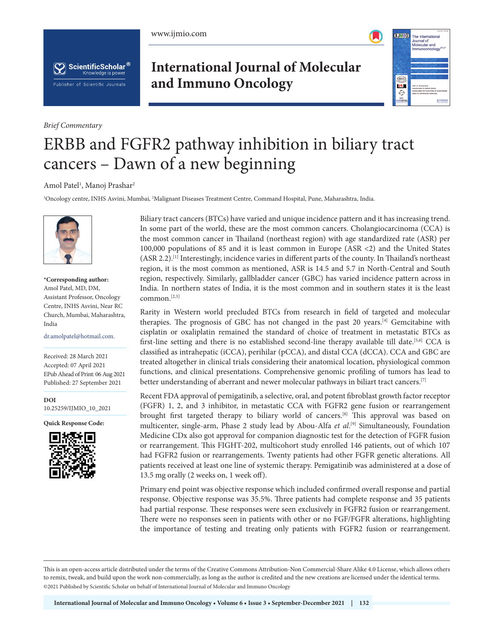





*Brief Commentary*

## **International Journal of Molecular and Immuno Oncology**



# ERBB and FGFR2 pathway inhibition in biliary tract cancers – Dawn of a new beginning

### Amol Patel<sup>1</sup>, Manoj Prashar<sup>2</sup>

1 Oncology centre, INHS Asvini, Mumbai, 2 Malignant Diseases Treatment Centre, Command Hospital, Pune, Maharashtra, India.



**\*Corresponding author:** Amol Patel, MD, DM, Assistant Professor, Oncology Centre, INHS Asvini, Near RC Church, Mumbai, Maharashtra, India

dr.amolpatel@hotmail.com.

Received: 28 March 2021 Accepted: 07 April 2021 EPub Ahead of Print: 06 Aug 2021 Published: 27 September 2021

**DOI** [10.25259/IJMIO\\_10\\_2021](https://dx.doi.org/10.25259/IJMIO_10_2021)

**Quick Response Code:**



Biliary tract cancers (BTCs) have varied and unique incidence pattern and it has increasing trend. In some part of the world, these are the most common cancers. Cholangiocarcinoma (CCA) is the most common cancer in Thailand (northeast region) with age standardized rate (ASR) per 100,000 populations of 85 and it is least common in Europe (ASR <2) and the United States (ASR 2.2).[1] Interestingly, incidence varies in different parts of the county. In Thailand's northeast region, it is the most common as mentioned, ASR is 14.5 and 5.7 in North-Central and South region, respectively. Similarly, gallbladder cancer (GBC) has varied incidence pattern across in India. In northern states of India, it is the most common and in southern states it is the least common.[2,3]

Rarity in Western world precluded BTCs from research in field of targeted and molecular therapies. The prognosis of GBC has not changed in the past 20 years.[4] Gemcitabine with cisplatin or oxaliplatin remained the standard of choice of treatment in metastatic BTCs as first-line setting and there is no established second-line therapy available till date.<sup>[5,6]</sup> CCA is classified as intrahepatic (iCCA), perihilar (pCCA), and distal CCA (dCCA). CCA and GBC are treated altogether in clinical trials considering their anatomical location, physiological common functions, and clinical presentations. Comprehensive genomic profiling of tumors has lead to better understanding of aberrant and newer molecular pathways in biliart tract cancers.<sup>[7]</sup>

Recent FDA approval of pemigatinib, a selective, oral, and potent fibroblast growth factor receptor (FGFR) 1, 2, and 3 inhibitor, in metastatic CCA with FGFR2 gene fusion or rearrangement brought first targeted therapy to biliary world of cancers.[8] This approval was based on multicenter, single-arm, Phase 2 study lead by Abou-Alfa *et al.*<sup>[9]</sup> Simultaneously, Foundation Medicine CDx also got approval for companion diagnostic test for the detection of FGFR fusion or rearrangement. This FIGHT-202, multicohort study enrolled 146 patients, out of which 107 had FGFR2 fusion or rearrangements. Twenty patients had other FGFR genetic alterations. All patients received at least one line of systemic therapy. Pemigatinib was administered at a dose of 13.5 mg orally (2 weeks on, 1 week off).

Primary end point was objective response which included confirmed overall response and partial response. Objective response was 35.5%. Three patients had complete response and 35 patients had partial response. These responses were seen exclusively in FGFR2 fusion or rearrangement. There were no responses seen in patients with other or no FGF/FGFR alterations, highlighting the importance of testing and treating only patients with FGFR2 fusion or rearrangement.

This is an open-access article distributed under the terms of the Creative Commons Attribution-Non Commercial-Share Alike 4.0 License, which allows others to remix, tweak, and build upon the work non-commercially, as long as the author is credited and the new creations are licensed under the identical terms. ©2021 Published by Scientific Scholar on behalf of International Journal of Molecular and Immuno Oncology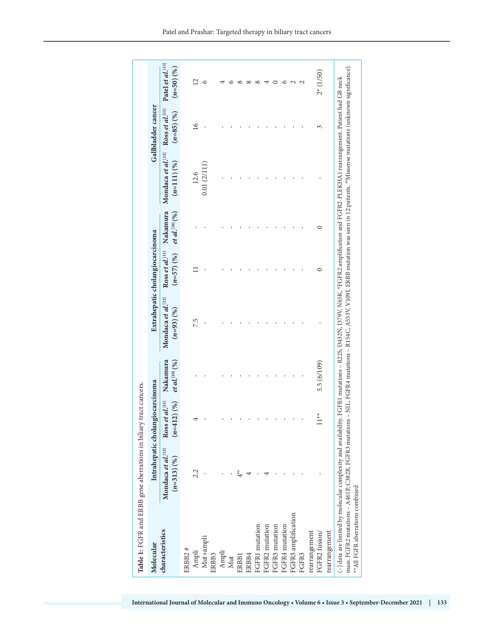| Ross et al.[11]<br>$(n=85)$ (%)<br>$\overline{16}$<br>3<br>Mondaca et al. <sup>[12]</sup><br>$(n=111)(%)$<br>0.01(2/111)<br>12.6<br>Nakamura<br><i>et al.</i> [10] $(96)$<br>0<br>Ross et al. $[11]$<br>$(n=57)(%)$<br>$\Box$<br>0<br>Mondaca et al.[12]<br>$(n=93)(%)$<br>7.5<br>Nakamura<br><i>et al.</i> <sup>[10]</sup> $(% )$<br>5.5(6/109)<br>$\mathbf{I}$<br>Ross et al. $[11]$<br>(2)(%)<br>$\stackrel{\star}{\star}$<br>ᡪ<br>$(n=41)$<br>$\Xi$<br>Mondaca et al.[12]<br>$(n=313)(\%)$<br>2.2<br>$4***$<br>4<br>FGFR3 amplification<br>FGFR1 mutation<br>FGFR3 mutation<br>FGFR4 mutation<br>FGFR2 mutation<br>characteristics<br>rearrangement<br>FGFR2 fusion/<br>Mut+ampli<br>ERBB2#<br>Ampli<br>Ampli<br>ERBB3<br>ERBB4<br>FGFR3<br>ERBB1<br>Mut |               |  | Patel et al.[13]<br>$(n=50)(\%)$ |
|--------------------------------------------------------------------------------------------------------------------------------------------------------------------------------------------------------------------------------------------------------------------------------------------------------------------------------------------------------------------------------------------------------------------------------------------------------------------------------------------------------------------------------------------------------------------------------------------------------------------------------------------------------------------------------------------------------------------------------------------------------------|---------------|--|----------------------------------|
|                                                                                                                                                                                                                                                                                                                                                                                                                                                                                                                                                                                                                                                                                                                                                              |               |  |                                  |
|                                                                                                                                                                                                                                                                                                                                                                                                                                                                                                                                                                                                                                                                                                                                                              |               |  |                                  |
|                                                                                                                                                                                                                                                                                                                                                                                                                                                                                                                                                                                                                                                                                                                                                              |               |  | $\overline{12}$                  |
|                                                                                                                                                                                                                                                                                                                                                                                                                                                                                                                                                                                                                                                                                                                                                              |               |  | $\circ$                          |
|                                                                                                                                                                                                                                                                                                                                                                                                                                                                                                                                                                                                                                                                                                                                                              |               |  |                                  |
|                                                                                                                                                                                                                                                                                                                                                                                                                                                                                                                                                                                                                                                                                                                                                              |               |  |                                  |
|                                                                                                                                                                                                                                                                                                                                                                                                                                                                                                                                                                                                                                                                                                                                                              |               |  |                                  |
|                                                                                                                                                                                                                                                                                                                                                                                                                                                                                                                                                                                                                                                                                                                                                              |               |  |                                  |
|                                                                                                                                                                                                                                                                                                                                                                                                                                                                                                                                                                                                                                                                                                                                                              |               |  | $\infty$                         |
|                                                                                                                                                                                                                                                                                                                                                                                                                                                                                                                                                                                                                                                                                                                                                              |               |  | $\infty$                         |
|                                                                                                                                                                                                                                                                                                                                                                                                                                                                                                                                                                                                                                                                                                                                                              |               |  |                                  |
|                                                                                                                                                                                                                                                                                                                                                                                                                                                                                                                                                                                                                                                                                                                                                              |               |  |                                  |
|                                                                                                                                                                                                                                                                                                                                                                                                                                                                                                                                                                                                                                                                                                                                                              |               |  | ७                                |
|                                                                                                                                                                                                                                                                                                                                                                                                                                                                                                                                                                                                                                                                                                                                                              |               |  |                                  |
|                                                                                                                                                                                                                                                                                                                                                                                                                                                                                                                                                                                                                                                                                                                                                              |               |  | $\sim$ $\sim$                    |
|                                                                                                                                                                                                                                                                                                                                                                                                                                                                                                                                                                                                                                                                                                                                                              |               |  |                                  |
|                                                                                                                                                                                                                                                                                                                                                                                                                                                                                                                                                                                                                                                                                                                                                              |               |  | $2* (1/50)$                      |
|                                                                                                                                                                                                                                                                                                                                                                                                                                                                                                                                                                                                                                                                                                                                                              | rearrangement |  |                                  |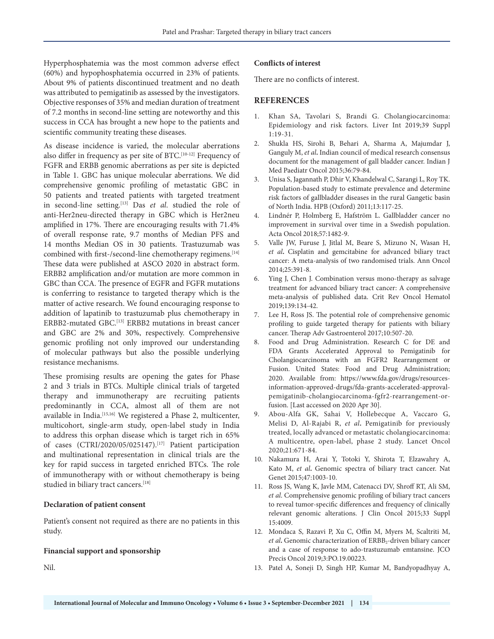Hyperphosphatemia was the most common adverse effect (60%) and hypophosphatemia occurred in 23% of patients. About 9% of patients discontinued treatment and no death was attributed to pemigatinib as assessed by the investigators. Objective responses of 35% and median duration of treatment of 7.2 months in second-line setting are noteworthy and this success in CCA has brought a new hope to the patients and scientific community treating these diseases.

As disease incidence is varied, the molecular aberrations also differ in frequency as per site of BTC.<sup>[10-12]</sup> Frequency of FGFR and ERBB genomic aberrations as per site is depicted in Table 1. GBC has unique molecular aberrations. We did comprehensive genomic profiling of metastatic GBC in 50 patients and treated patients with targeted treatment in second-line setting.[13] Das *et al*. studied the role of anti-Her2neu-directed therapy in GBC which is Her2neu amplified in 17%. There are encouraging results with 71.4% of overall response rate, 9.7 months of Median PFS and 14 months Median OS in 30 patients. Trastuzumab was combined with first-/second-line chemotherapy regimens.<sup>[14]</sup> These data were published at ASCO 2020 in abstract form. ERBB2 amplification and/or mutation are more common in GBC than CCA. The presence of EGFR and FGFR mutations is conferring to resistance to targeted therapy which is the matter of active research. We found encouraging response to addition of lapatinib to trastuzumab plus chemotherapy in ERBB2-mutated GBC.[13] ERBB2 mutations in breast cancer and GBC are 2% and 30%, respectively. Comprehensive genomic profiling not only improved our understanding of molecular pathways but also the possible underlying resistance mechanisms.

These promising results are opening the gates for Phase 2 and 3 trials in BTCs. Multiple clinical trials of targeted therapy and immunotherapy are recruiting patients predominantly in CCA, almost all of them are not available in India.<sup>[15,16]</sup> We registered a Phase 2, multicenter, multicohort, single-arm study, open-label study in India to address this orphan disease which is target rich in 65% of cases (CTRI/2020/05/025147).[17] Patient participation and multinational representation in clinical trials are the key for rapid success in targeted enriched BTCs. The role of immunotherapy with or without chemotherapy is being studied in biliary tract cancers.[18]

#### **Declaration of patient consent**

Patient's consent not required as there are no patients in this study.

#### **Financial support and sponsorship**

Nil.

#### **Conflicts of interest**

There are no conflicts of interest.

### **REFERENCES**

- 1. Khan SA, Tavolari S, Brandi G. Cholangiocarcinoma: Epidemiology and risk factors. Liver Int 2019;39 Suppl 1:19-31.
- 2. Shukla HS, Sirohi B, Behari A, Sharma A, Majumdar J, Ganguly M, *et al***.** Indian council of medical research consensus document for the management of gall bladder cancer. Indian J Med Paediatr Oncol 2015;36:79-84.
- 3. Unisa S, Jagannath P, Dhir V, Khandelwal C, Sarangi L, Roy TK. Population-based study to estimate prevalence and determine risk factors of gallbladder diseases in the rural Gangetic basin of North India. HPB (Oxford) 2011;13:117-25.
- 4. Lindnér P, Holmberg E, Hafström L. Gallbladder cancer no improvement in survival over time in a Swedish population. Acta Oncol 2018;57:1482-9.
- 5. Valle JW, Furuse J, Jitlal M, Beare S, Mizuno N, Wasan H, *et al***.** Cisplatin and gemcitabine for advanced biliary tract cancer: A meta-analysis of two randomised trials. Ann Oncol 2014;25:391-8.
- 6. Ying J, Chen J. Combination versus mono-therapy as salvage treatment for advanced biliary tract cancer: A comprehensive meta-analysis of published data. Crit Rev Oncol Hematol 2019;139:134-42.
- 7. Lee H, Ross JS. The potential role of comprehensive genomic profiling to guide targeted therapy for patients with biliary cancer. Therap Adv Gastroenterol 2017;10:507-20.
- 8. Food and Drug Administration. Research C for DE and FDA Grants Accelerated Approval to Pemigatinib for Cholangiocarcinoma with an FGFR2 Rearrangement or Fusion. United States: Food and Drug Administration; 2020. Available from: https://www.fda.gov/drugs/resourcesinformation-approved-drugs/fda-grants-accelerated-approvalpemigatinib-cholangiocarcinoma-fgfr2-rearrangement-orfusion. [Last accessed on 2020 Apr 30].
- 9. Abou-Alfa GK, Sahai V, Hollebecque A, Vaccaro G, Melisi D, Al-Rajabi R, *et al***.** Pemigatinib for previously treated, locally advanced or metastatic cholangiocarcinoma: A multicentre, open-label, phase 2 study. Lancet Oncol 2020;21:671-84.
- 10. Nakamura H, Arai Y, Totoki Y, Shirota T, Elzawahry A, Kato M, *et al***.** Genomic spectra of biliary tract cancer. Nat Genet 2015;47:1003-10.
- 11. Ross JS, Wang K, Javle MM, Catenacci DV, Shroff RT, Ali SM, *et al*. Comprehensive genomic profiling of biliary tract cancers to reveal tumor-specific differences and frequency of clinically relevant genomic alterations. J Clin Oncol 2015;33 Suppl 15:4009.
- 12. Mondaca S, Razavi P, Xu C, Offin M, Myers M, Scaltriti M, et al. Genomic characterization of ERBB<sub>2</sub>-driven biliary cancer and a case of response to ado-trastuzumab emtansine. JCO Precis Oncol 2019;3:PO.19.00223.
- 13. Patel A, Soneji D, Singh HP, Kumar M, Bandyopadhyay A,